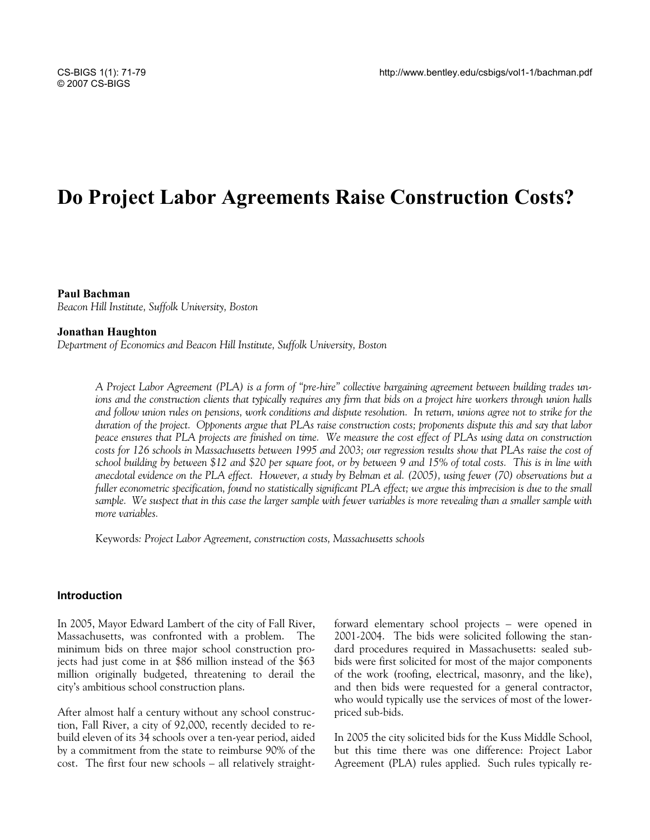# **Do Project Labor Agreements Raise Construction Costs?**

#### **Paul Bachman**

*Beacon Hill Institute, Suffolk University, Boston* 

#### **Jonathan Haughton**

*Department of Economics and Beacon Hill Institute, Suffolk University, Boston* 

*A Project Labor Agreement (PLA) is a form of "pre-hire" collective bargaining agreement between building trades unions and the construction clients that typically requires any firm that bids on a project hire workers through union halls and follow union rules on pensions, work conditions and dispute resolution. In return, unions agree not to strike for the duration of the project. Opponents argue that PLAs raise construction costs; proponents dispute this and say that labor peace ensures that PLA projects are finished on time. We measure the cost effect of PLAs using data on construction costs for 126 schools in Massachusetts between 1995 and 2003; our regression results show that PLAs raise the cost of school building by between \$12 and \$20 per square foot, or by between 9 and 15% of total costs. This is in line with anecdotal evidence on the PLA effect. However, a study by Belman et al. (2005), using fewer (70) observations but a fuller econometric specification, found no statistically significant PLA effect; we argue this imprecision is due to the small sample. We suspect that in this case the larger sample with fewer variables is more revealing than a smaller sample with more variables.* 

Keywords*: Project Labor Agreement, construction costs, Massachusetts schools* 

#### **Introduction**

In 2005, Mayor Edward Lambert of the city of Fall River, Massachusetts, was confronted with a problem. The minimum bids on three major school construction projects had just come in at \$86 million instead of the \$63 million originally budgeted, threatening to derail the city's ambitious school construction plans.

After almost half a century without any school construction, Fall River, a city of 92,000, recently decided to rebuild eleven of its 34 schools over a ten-year period, aided by a commitment from the state to reimburse 90% of the cost. The first four new schools – all relatively straightforward elementary school projects – were opened in 2001-2004. The bids were solicited following the standard procedures required in Massachusetts: sealed subbids were first solicited for most of the major components of the work (roofing, electrical, masonry, and the like), and then bids were requested for a general contractor, who would typically use the services of most of the lowerpriced sub-bids.

In 2005 the city solicited bids for the Kuss Middle School, but this time there was one difference: Project Labor Agreement (PLA) rules applied. Such rules typically re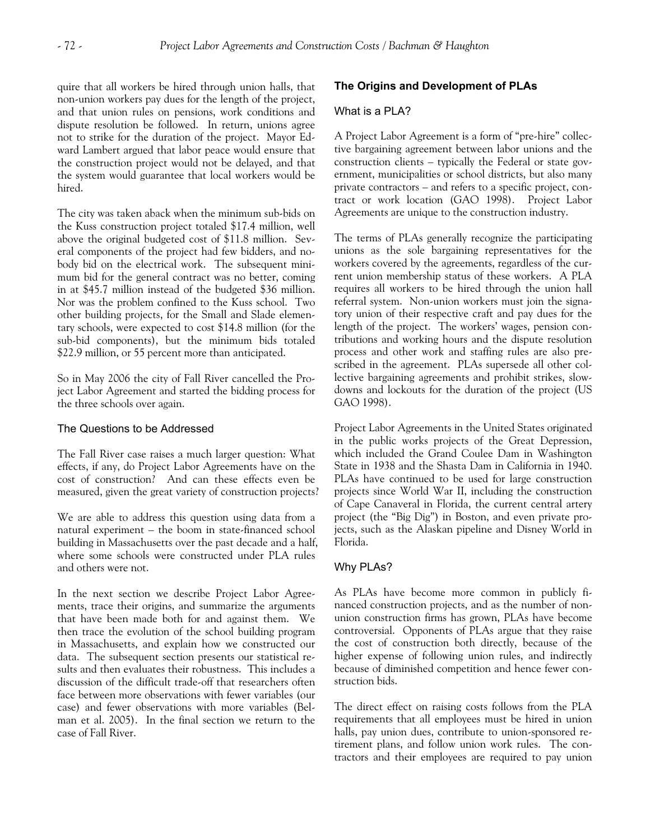quire that all workers be hired through union halls, that non-union workers pay dues for the length of the project, and that union rules on pensions, work conditions and dispute resolution be followed. In return, unions agree not to strike for the duration of the project. Mayor Edward Lambert argued that labor peace would ensure that the construction project would not be delayed, and that the system would guarantee that local workers would be hired.

The city was taken aback when the minimum sub-bids on the Kuss construction project totaled \$17.4 million, well above the original budgeted cost of \$11.8 million. Several components of the project had few bidders, and nobody bid on the electrical work. The subsequent minimum bid for the general contract was no better, coming in at \$45.7 million instead of the budgeted \$36 million. Nor was the problem confined to the Kuss school. Two other building projects, for the Small and Slade elementary schools, were expected to cost \$14.8 million (for the sub-bid components), but the minimum bids totaled \$22.9 million, or 55 percent more than anticipated.

So in May 2006 the city of Fall River cancelled the Project Labor Agreement and started the bidding process for the three schools over again.

# The Questions to be Addressed

The Fall River case raises a much larger question: What effects, if any, do Project Labor Agreements have on the cost of construction? And can these effects even be measured, given the great variety of construction projects?

We are able to address this question using data from a natural experiment – the boom in state-financed school building in Massachusetts over the past decade and a half, where some schools were constructed under PLA rules and others were not.

In the next section we describe Project Labor Agreements, trace their origins, and summarize the arguments that have been made both for and against them. We then trace the evolution of the school building program in Massachusetts, and explain how we constructed our data. The subsequent section presents our statistical results and then evaluates their robustness. This includes a discussion of the difficult trade-off that researchers often face between more observations with fewer variables (our case) and fewer observations with more variables (Belman et al. 2005). In the final section we return to the case of Fall River.

# **The Origins and Development of PLAs**

## What is a PLA?

A Project Labor Agreement is a form of "pre-hire" collective bargaining agreement between labor unions and the construction clients – typically the Federal or state government, municipalities or school districts, but also many private contractors – and refers to a specific project, contract or work location (GAO 1998). Project Labor Agreements are unique to the construction industry.

The terms of PLAs generally recognize the participating unions as the sole bargaining representatives for the workers covered by the agreements, regardless of the current union membership status of these workers. A PLA requires all workers to be hired through the union hall referral system. Non-union workers must join the signatory union of their respective craft and pay dues for the length of the project. The workers' wages, pension contributions and working hours and the dispute resolution process and other work and staffing rules are also prescribed in the agreement. PLAs supersede all other collective bargaining agreements and prohibit strikes, slowdowns and lockouts for the duration of the project (US GAO 1998).

Project Labor Agreements in the United States originated in the public works projects of the Great Depression, which included the Grand Coulee Dam in Washington State in 1938 and the Shasta Dam in California in 1940. PLAs have continued to be used for large construction projects since World War II, including the construction of Cape Canaveral in Florida, the current central artery project (the "Big Dig") in Boston, and even private projects, such as the Alaskan pipeline and Disney World in Florida.

# Why PLAs?

As PLAs have become more common in publicly financed construction projects, and as the number of nonunion construction firms has grown, PLAs have become controversial. Opponents of PLAs argue that they raise the cost of construction both directly, because of the higher expense of following union rules, and indirectly because of diminished competition and hence fewer construction bids.

The direct effect on raising costs follows from the PLA requirements that all employees must be hired in union halls, pay union dues, contribute to union-sponsored retirement plans, and follow union work rules. The contractors and their employees are required to pay union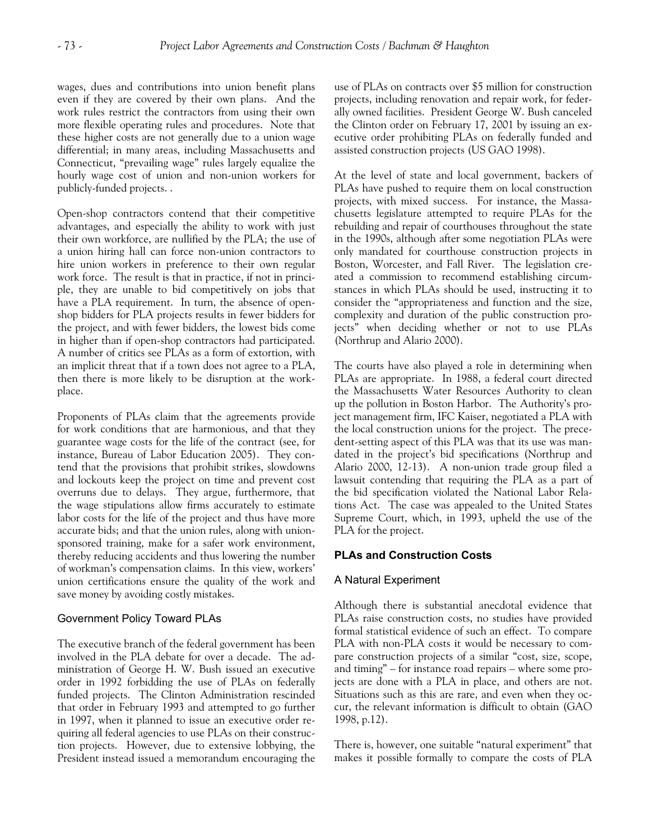wages, dues and contributions into union benefit plans even if they are covered by their own plans. And the work rules restrict the contractors from using their own more flexible operating rules and procedures. Note that these higher costs are not generally due to a union wage differential; in many areas, including Massachusetts and Connecticut, "prevailing wage" rules largely equalize the hourly wage cost of union and non-union workers for publicly-funded projects. .

Open-shop contractors contend that their competitive advantages, and especially the ability to work with just their own workforce, are nullified by the PLA; the use of a union hiring hall can force non-union contractors to hire union workers in preference to their own regular work force. The result is that in practice, if not in principle, they are unable to bid competitively on jobs that have a PLA requirement. In turn, the absence of openshop bidders for PLA projects results in fewer bidders for the project, and with fewer bidders, the lowest bids come in higher than if open-shop contractors had participated. A number of critics see PLAs as a form of extortion, with an implicit threat that if a town does not agree to a PLA, then there is more likely to be disruption at the workplace.

Proponents of PLAs claim that the agreements provide for work conditions that are harmonious, and that they guarantee wage costs for the life of the contract (see, for instance, Bureau of Labor Education 2005). They contend that the provisions that prohibit strikes, slowdowns and lockouts keep the project on time and prevent cost overruns due to delays. They argue, furthermore, that the wage stipulations allow firms accurately to estimate labor costs for the life of the project and thus have more accurate bids; and that the union rules, along with unionsponsored training, make for a safer work environment, thereby reducing accidents and thus lowering the number of workman's compensation claims. In this view, workers' union certifications ensure the quality of the work and save money by avoiding costly mistakes.

# Government Policy Toward PLAs

The executive branch of the federal government has been involved in the PLA debate for over a decade. The administration of George H. W. Bush issued an executive order in 1992 forbidding the use of PLAs on federally funded projects. The Clinton Administration rescinded that order in February 1993 and attempted to go further in 1997, when it planned to issue an executive order requiring all federal agencies to use PLAs on their construction projects. However, due to extensive lobbying, the President instead issued a memorandum encouraging the use of PLAs on contracts over \$5 million for construction projects, including renovation and repair work, for federally owned facilities. President George W. Bush canceled the Clinton order on February 17, 2001 by issuing an executive order prohibiting PLAs on federally funded and assisted construction projects (US GAO 1998).

At the level of state and local government, backers of PLAs have pushed to require them on local construction projects, with mixed success. For instance, the Massachusetts legislature attempted to require PLAs for the rebuilding and repair of courthouses throughout the state in the 1990s, although after some negotiation PLAs were only mandated for courthouse construction projects in Boston, Worcester, and Fall River. The legislation created a commission to recommend establishing circumstances in which PLAs should be used, instructing it to consider the "appropriateness and function and the size, complexity and duration of the public construction projects" when deciding whether or not to use PLAs (Northrup and Alario 2000).

The courts have also played a role in determining when PLAs are appropriate. In 1988, a federal court directed the Massachusetts Water Resources Authority to clean up the pollution in Boston Harbor. The Authority's project management firm, IFC Kaiser, negotiated a PLA with the local construction unions for the project. The precedent-setting aspect of this PLA was that its use was mandated in the project's bid specifications (Northrup and Alario 2000, 12-13). A non-union trade group filed a lawsuit contending that requiring the PLA as a part of the bid specification violated the National Labor Relations Act. The case was appealed to the United States Supreme Court, which, in 1993, upheld the use of the PLA for the project.

# **PLAs and Construction Costs**

# A Natural Experiment

Although there is substantial anecdotal evidence that PLAs raise construction costs, no studies have provided formal statistical evidence of such an effect. To compare PLA with non-PLA costs it would be necessary to compare construction projects of a similar "cost, size, scope, and timing" – for instance road repairs – where some projects are done with a PLA in place, and others are not. Situations such as this are rare, and even when they occur, the relevant information is difficult to obtain (GAO 1998, p.12).

There is, however, one suitable "natural experiment" that makes it possible formally to compare the costs of PLA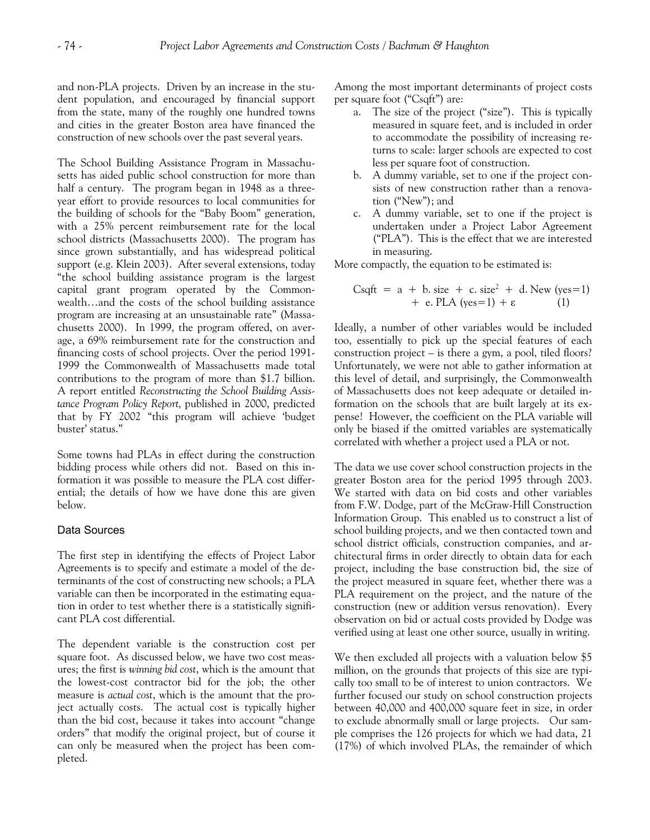and non-PLA projects. Driven by an increase in the student population, and encouraged by financial support from the state, many of the roughly one hundred towns and cities in the greater Boston area have financed the construction of new schools over the past several years.

The School Building Assistance Program in Massachusetts has aided public school construction for more than half a century. The program began in 1948 as a threeyear effort to provide resources to local communities for the building of schools for the "Baby Boom" generation, with a 25% percent reimbursement rate for the local school districts (Massachusetts 2000). The program has since grown substantially, and has widespread political support (e.g. Klein 2003). After several extensions, today "the school building assistance program is the largest capital grant program operated by the Commonwealth…and the costs of the school building assistance program are increasing at an unsustainable rate" (Massachusetts 2000). In 1999, the program offered, on average, a 69% reimbursement rate for the construction and financing costs of school projects. Over the period 1991- 1999 the Commonwealth of Massachusetts made total contributions to the program of more than \$1.7 billion. A report entitled *Reconstructing the School Building Assistance Program Policy Report,* published in 2000, predicted that by FY 2002 "this program will achieve 'budget buster' status."

Some towns had PLAs in effect during the construction bidding process while others did not. Based on this information it was possible to measure the PLA cost differential; the details of how we have done this are given below.

#### Data Sources

The first step in identifying the effects of Project Labor Agreements is to specify and estimate a model of the determinants of the cost of constructing new schools; a PLA variable can then be incorporated in the estimating equation in order to test whether there is a statistically significant PLA cost differential.

The dependent variable is the construction cost per square foot. As discussed below, we have two cost measures; the first is *winning bid cost*, which is the amount that the lowest-cost contractor bid for the job; the other measure is *actual cost*, which is the amount that the project actually costs. The actual cost is typically higher than the bid cost, because it takes into account "change orders" that modify the original project, but of course it can only be measured when the project has been completed.

Among the most important determinants of project costs per square foot ("Csqft") are:

- a. The size of the project ("size"). This is typically measured in square feet, and is included in order to accommodate the possibility of increasing returns to scale: larger schools are expected to cost less per square foot of construction.
- b. A dummy variable, set to one if the project consists of new construction rather than a renovation ("New"); and
- c. A dummy variable, set to one if the project is undertaken under a Project Labor Agreement ("PLA"). This is the effect that we are interested in measuring.

More compactly, the equation to be estimated is:

Csqrt = 
$$
a + b
$$
. size + c. size<sup>2</sup> + d. New (yes=1)  
+ e. PLA (yes=1) +  $\varepsilon$  (1)

Ideally, a number of other variables would be included too, essentially to pick up the special features of each construction project – is there a gym, a pool, tiled floors? Unfortunately, we were not able to gather information at this level of detail, and surprisingly, the Commonwealth of Massachusetts does not keep adequate or detailed information on the schools that are built largely at its expense! However, the coefficient on the PLA variable will only be biased if the omitted variables are systematically correlated with whether a project used a PLA or not.

The data we use cover school construction projects in the greater Boston area for the period 1995 through 2003. We started with data on bid costs and other variables from F.W. Dodge, part of the McGraw-Hill Construction Information Group. This enabled us to construct a list of school building projects, and we then contacted town and school district officials, construction companies, and architectural firms in order directly to obtain data for each project, including the base construction bid, the size of the project measured in square feet, whether there was a PLA requirement on the project, and the nature of the construction (new or addition versus renovation). Every observation on bid or actual costs provided by Dodge was verified using at least one other source, usually in writing.

We then excluded all projects with a valuation below \$5 million, on the grounds that projects of this size are typically too small to be of interest to union contractors. We further focused our study on school construction projects between 40,000 and 400,000 square feet in size, in order to exclude abnormally small or large projects. Our sample comprises the 126 projects for which we had data, 21 (17%) of which involved PLAs, the remainder of which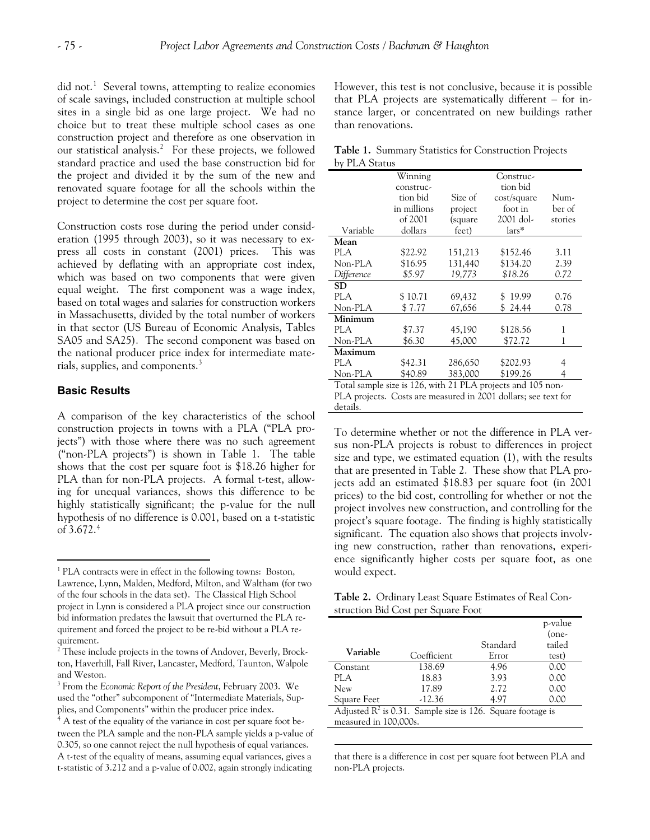did not.<sup>[1](#page-4-0)</sup> Several towns, attempting to realize economies of scale savings, included construction at multiple school sites in a single bid as one large project. We had no choice but to treat these multiple school cases as one construction project and therefore as one observation in our statistical analysis.<sup>[2](#page-4-1)</sup> For these projects, we followed standard practice and used the base construction bid for the project and divided it by the sum of the new and renovated square footage for all the schools within the project to determine the cost per square foot.

Construction costs rose during the period under consideration (1995 through 2003), so it was necessary to express all costs in constant (2001) prices. This was achieved by deflating with an appropriate cost index, which was based on two components that were given equal weight. The first component was a wage index, based on total wages and salaries for construction workers in Massachusetts, divided by the total number of workers in that sector (US Bureau of Economic Analysis, Tables SA05 and SA25). The second component was based on the national producer price index for intermediate mate-rials, supplies, and components.<sup>[3](#page-4-2)</sup>

## **Basic Results**

 $\overline{a}$ 

A comparison of the key characteristics of the school construction projects in towns with a PLA ("PLA projects") with those where there was no such agreement ("non-PLA projects") is shown in Table 1. The table shows that the cost per square foot is \$18.26 higher for PLA than for non-PLA projects. A formal t-test, allowing for unequal variances, shows this difference to be highly statistically significant; the p-value for the null hypothesis of no difference is 0.001, based on a t-statistic of  $3.672.*$ 

However, this test is not conclusive, because it is possible that PLA projects are systematically different – for instance larger, or concentrated on new buildings rather than renovations.

|               | Table 1. Summary Statistics for Construction Projects |  |  |
|---------------|-------------------------------------------------------|--|--|
| by PLA Status |                                                       |  |  |

|             | Winning     |         | Construc-                                                                                                |         |
|-------------|-------------|---------|----------------------------------------------------------------------------------------------------------|---------|
|             | construc-   |         | tion bid                                                                                                 |         |
|             | tion bid    | Size of | cost/square                                                                                              | Num-    |
|             | in millions | project | foot in                                                                                                  | ber of  |
|             | of 2001     | (square | 2001 dol-                                                                                                | stories |
| Variable    | dollars     | feet)   | lars*                                                                                                    |         |
| Mean        |             |         |                                                                                                          |         |
| PLA         | \$22.92     | 151,213 | \$152.46                                                                                                 | 3.11    |
| Non-PLA     | \$16.95     | 131,440 | \$134.20                                                                                                 | 2.39    |
| Difference  | \$5.97      | 19,773  | \$18.26                                                                                                  | 0.72    |
| $_{\rm SD}$ |             |         |                                                                                                          |         |
| <b>PLA</b>  | \$10.71     | 69,432  | 19.99<br>\$.                                                                                             | 0.76    |
| Non-PLA     | \$7.77      | 67,656  | \$24.44                                                                                                  | 0.78    |
| Minimum     |             |         |                                                                                                          |         |
| PLA         | \$7.37      | 45,190  | \$128.56                                                                                                 | 1       |
| Non-PLA     | \$6.30      | 45,000  | \$72.72                                                                                                  |         |
| Maximum     |             |         |                                                                                                          |         |
| PLA         | \$42.31     | 286,650 | \$202.93                                                                                                 | 4       |
| Non-PLA     | \$40.89     | 383,000 | \$199.26                                                                                                 | 4       |
|             |             |         | $T_{i+1}$ $1 \t i \t i \t i \t i$ $126 \t i \t i \t i$ $21 \t i \t i \t i \t i \t i \t i \t i \t i \t i$ |         |

Total sample size is 126, with 21 PLA projects and 105 non-PLA projects. Costs are measured in 2001 dollars; see text for details.

To determine whether or not the difference in PLA versus non-PLA projects is robust to differences in project size and type, we estimated equation (1), with the results that are presented in Table 2. These show that PLA projects add an estimated \$18.83 per square foot (in 2001 prices) to the bid cost, controlling for whether or not the project involves new construction, and controlling for the project's square footage. The finding is highly statistically significant. The equation also shows that projects involving new construction, rather than renovations, experience significantly higher costs per square foot, as one would expect.

**Table 2.** Ordinary Least Square Estimates of Real Construction Bid Cost per Square Foot

|                                                               |             |          | p-value |
|---------------------------------------------------------------|-------------|----------|---------|
|                                                               |             |          | (one-   |
|                                                               |             | Standard | tailed  |
| Variable                                                      | Coefficient | Error    | test)   |
| Constant                                                      | 138.69      | 4.96     | 0.00    |
| <b>PLA</b>                                                    | 18.83       | 3.93     | 0.00    |
| <b>New</b>                                                    | 17.89       | 2.72     | 0.00    |
| Square Feet                                                   | $-12.36$    | 4.97     | 0.00    |
| Adjusted $R^2$ is 0.31. Sample size is 126. Square footage is |             |          |         |

measured in 100,000s.

 $\overline{a}$ 

that there is a difference in cost per square foot between PLA and non-PLA projects.

<span id="page-4-0"></span><sup>&</sup>lt;sup>1</sup> PLA contracts were in effect in the following towns: Boston, Lawrence, Lynn, Malden, Medford, Milton, and Waltham (for two of the four schools in the data set). The Classical High School project in Lynn is considered a PLA project since our construction bid information predates the lawsuit that overturned the PLA requirement and forced the project to be re-bid without a PLA requirement.

<span id="page-4-1"></span><sup>&</sup>lt;sup>2</sup> These include projects in the towns of Andover, Beverly, Brockton, Haverhill, Fall River, Lancaster, Medford, Taunton, Walpole and Weston.

<span id="page-4-2"></span><sup>3</sup> From the *Economic Report of the President*, February 2003. We used the "other" subcomponent of "Intermediate Materials, Supplies, and Components" within the producer price index.

<span id="page-4-3"></span> $<sup>4</sup>$  A test of the equality of the variance in cost per square foot be-</sup> tween the PLA sample and the non-PLA sample yields a p-value of 0.305, so one cannot reject the null hypothesis of equal variances. A t-test of the equality of means, assuming equal variances, gives a t-statistic of 3.212 and a p-value of 0.002, again strongly indicating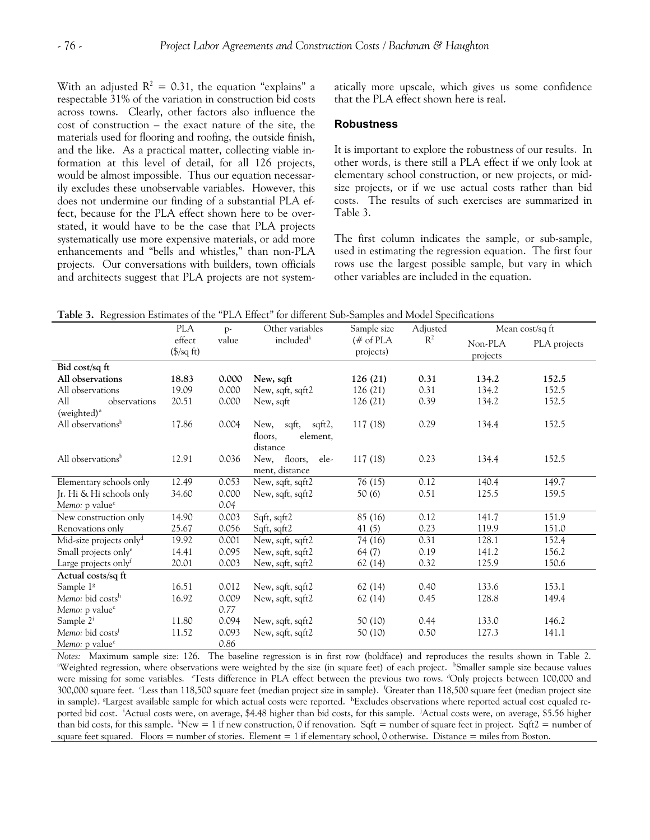With an adjusted  $R^2 = 0.31$ , the equation "explains" a respectable 31% of the variation in construction bid costs across towns. Clearly, other factors also influence the cost of construction – the exact nature of the site, the materials used for flooring and roofing, the outside finish, and the like. As a practical matter, collecting viable information at this level of detail, for all 126 projects, would be almost impossible. Thus our equation necessarily excludes these unobservable variables. However, this does not undermine our finding of a substantial PLA effect, because for the PLA effect shown here to be overstated, it would have to be the case that PLA projects systematically use more expensive materials, or add more enhancements and "bells and whistles," than non-PLA projects. Our conversations with builders, town officials and architects suggest that PLA projects are not systematically more upscale, which gives us some confidence that the PLA effect shown here is real.

#### **Robustness**

It is important to explore the robustness of our results. In other words, is there still a PLA effect if we only look at elementary school construction, or new projects, or midsize projects, or if we use actual costs rather than bid costs. The results of such exercises are summarized in Table 3.

The first column indicates the sample, or sub-sample, used in estimating the regression equation. The first four rows use the largest possible sample, but vary in which other variables are included in the equation.

**Table 3.** Regression Estimates of the "PLA Effect" for different Sub-Samples and Model Specifications

|                                     | <b>PLA</b>                            | $p-$  | Other variables       | Sample size             | Adjusted | Mean cost/sq ft     |              |
|-------------------------------------|---------------------------------------|-------|-----------------------|-------------------------|----------|---------------------|--------------|
|                                     | effect<br>$(\frac{5}{sq} \text{ ft})$ | value | included <sup>k</sup> | $#$ of PLA<br>projects) | $R^2$    | Non-PLA<br>projects | PLA projects |
| Bid cost/sq ft                      |                                       |       |                       |                         |          |                     |              |
| All observations                    | 18.83                                 | 0.000 | New, sqft             | 126(21)                 | 0.31     | 134.2               | 152.5        |
| All observations                    | 19.09                                 | 0.000 | New, sqft, sqft2      | 126(21)                 | 0.31     | 134.2               | 152.5        |
| All<br>observations                 | 20.51                                 | 0.000 | New, sqft             | 126 (21)                | 0.39     | 134.2               | 152.5        |
| (weighted) <sup>a</sup>             |                                       |       |                       |                         |          |                     |              |
| All observations <sup>b</sup>       | 17.86                                 | 0.004 | sqft, sqft2,<br>New,  | 117 (18)                | 0.29     | 134.4               | 152.5        |
|                                     |                                       |       | element,<br>floors,   |                         |          |                     |              |
|                                     |                                       |       | distance              |                         |          |                     |              |
| All observations <sup>b</sup>       | 12.91                                 | 0.036 | New, floors,<br>ele-  | 117(18)                 | 0.23     | 134.4               | 152.5        |
|                                     |                                       |       | ment, distance        |                         |          |                     |              |
| Elementary schools only             | 12.49                                 | 0.053 | New, sqft, sqft2      | 76(15)                  | 0.12     | 140.4               | 149.7        |
| Jr. Hi & Hi schools only            | 34.60                                 | 0.000 | New, sqft, sqft2      | 50(6)                   | 0.51     | 125.5               | 159.5        |
| Memo: p value <sup>c</sup>          |                                       | 0.04  |                       |                         |          |                     |              |
| New construction only               | 14.90                                 | 0.003 | Sqft, sqft2           | 85 (16)                 | 0.12     | 141.7               | 151.9        |
| Renovations only                    | 25.67                                 | 0.056 | Sqft, sqft2           | 41(5)                   | 0.23     | 119.9               | 151.0        |
| Mid-size projects only <sup>d</sup> | 19.92                                 | 0.001 | New, sqft, sqft2      | 74 (16)                 | 0.31     | 128.1               | 152.4        |
| Small projects only <sup>e</sup>    | 14.41                                 | 0.095 | New, sqft, sqft2      | 64 (7)                  | 0.19     | 141.2               | 156.2        |
| Large projects only <sup>f</sup>    | 20.01                                 | 0.003 | New, sqft, sqft2      | 62 (14)                 | 0.32     | 125.9               | 150.6        |
| Actual costs/sq ft                  |                                       |       |                       |                         |          |                     |              |
| Sample 1 <sup>g</sup>               | 16.51                                 | 0.012 | New, sqft, sqft2      | 62(14)                  | 0.40     | 133.6               | 153.1        |
| Memo: bid costsh                    | 16.92                                 | 0.009 | New, sqft, sqft2      | 62 (14)                 | 0.45     | 128.8               | 149.4        |
| Memo: p value <sup>c</sup>          |                                       | 0.77  |                       |                         |          |                     |              |
| Sample 2 <sup>i</sup>               | 11.80                                 | 0.094 | New, sqft, sqft2      | 50(10)                  | 0.44     | 133.0               | 146.2        |
| Memo: bid costs <sup>j</sup>        | 11.52                                 | 0.093 | New, sqft, sqft2      | 50 (10)                 | 0.50     | 127.3               | 141.1        |
| Memo: p value <sup>c</sup>          |                                       | 0.86  |                       |                         |          |                     |              |

*Notes:* Maximum sample size: 126. The baseline regression is in first row (boldface) and reproduces the results shown in Table 2. Weighted regression, where observations were weighted by the size (in square feet) of each project. <sup>b</sup>Smaller sample size because values were missing for some variables. "Tests difference in PLA effect between the previous two rows. <sup>d</sup>Only projects between 100,000 and 300,000 square feet. "Less than 118,500 square feet (median project size in sample). 'Greater than 118,500 square feet (median project size in sample). <sup>*«Largest available sample for which actual costs were reported.* hExcludes observations where reported actual cost equaled re-</sup> ported bid cost. 'Actual costs were, on average, \$4.48 higher than bid costs, for this sample. 'Actual costs were, on average, \$5.56 higher than bid costs, for this sample.  $kNew = 1$  if new construction, 0 if renovation. Sqft = number of square feet in project. Sqft2 = number of square feet squared. Floors = number of stories. Element = 1 if elementary school, 0 otherwise. Distance = miles from Boston.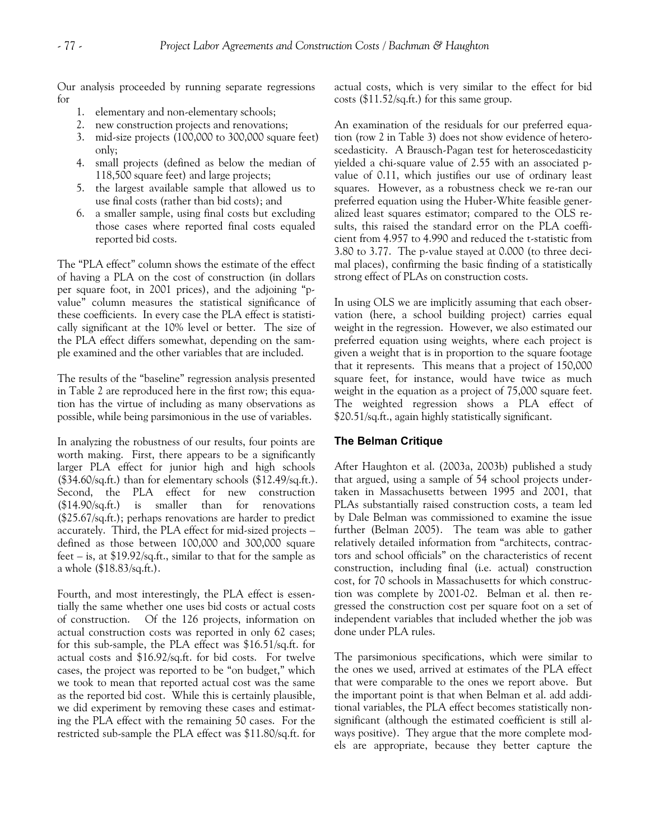Our analysis proceeded by running separate regressions for

- 1. elementary and non-elementary schools;
- 2. new construction projects and renovations;
- 3. mid-size projects (100,000 to 300,000 square feet) only;
- 4. small projects (defined as below the median of 118,500 square feet) and large projects;
- 5. the largest available sample that allowed us to use final costs (rather than bid costs); and
- 6. a smaller sample, using final costs but excluding those cases where reported final costs equaled reported bid costs.

The "PLA effect" column shows the estimate of the effect of having a PLA on the cost of construction (in dollars per square foot, in 2001 prices), and the adjoining "pvalue" column measures the statistical significance of these coefficients. In every case the PLA effect is statistically significant at the 10% level or better. The size of the PLA effect differs somewhat, depending on the sample examined and the other variables that are included.

The results of the "baseline" regression analysis presented in Table 2 are reproduced here in the first row; this equation has the virtue of including as many observations as possible, while being parsimonious in the use of variables.

In analyzing the robustness of our results, four points are worth making. First, there appears to be a significantly larger PLA effect for junior high and high schools (\$34.60/sq.ft.) than for elementary schools (\$12.49/sq.ft.). Second, the PLA effect for new construction (\$14.90/sq.ft.) is smaller than for renovations (\$25.67/sq.ft.); perhaps renovations are harder to predict accurately. Third, the PLA effect for mid-sized projects – defined as those between 100,000 and 300,000 square feet – is, at \$19.92/sq.ft., similar to that for the sample as a whole (\$18.83/sq.ft.).

Fourth, and most interestingly, the PLA effect is essentially the same whether one uses bid costs or actual costs of construction. Of the 126 projects, information on actual construction costs was reported in only 62 cases; for this sub-sample, the PLA effect was \$16.51/sq.ft. for actual costs and \$16.92/sq.ft. for bid costs. For twelve cases, the project was reported to be "on budget," which we took to mean that reported actual cost was the same as the reported bid cost. While this is certainly plausible, we did experiment by removing these cases and estimating the PLA effect with the remaining 50 cases. For the restricted sub-sample the PLA effect was \$11.80/sq.ft. for actual costs, which is very similar to the effect for bid costs (\$11.52/sq.ft.) for this same group.

An examination of the residuals for our preferred equation (row 2 in Table 3) does not show evidence of heteroscedasticity. A Brausch-Pagan test for heteroscedasticity yielded a chi-square value of 2.55 with an associated pvalue of 0.11, which justifies our use of ordinary least squares. However, as a robustness check we re-ran our preferred equation using the Huber-White feasible generalized least squares estimator; compared to the OLS results, this raised the standard error on the PLA coefficient from 4.957 to 4.990 and reduced the t-statistic from 3.80 to 3.77. The p-value stayed at 0.000 (to three decimal places), confirming the basic finding of a statistically strong effect of PLAs on construction costs.

In using OLS we are implicitly assuming that each observation (here, a school building project) carries equal weight in the regression. However, we also estimated our preferred equation using weights, where each project is given a weight that is in proportion to the square footage that it represents. This means that a project of 150,000 square feet, for instance, would have twice as much weight in the equation as a project of 75,000 square feet. The weighted regression shows a PLA effect of \$20.51/sq.ft., again highly statistically significant.

#### **The Belman Critique**

After Haughton et al. (2003a, 2003b) published a study that argued, using a sample of 54 school projects undertaken in Massachusetts between 1995 and 2001, that PLAs substantially raised construction costs, a team led by Dale Belman was commissioned to examine the issue further (Belman 2005). The team was able to gather relatively detailed information from "architects, contractors and school officials" on the characteristics of recent construction, including final (i.e. actual) construction cost, for 70 schools in Massachusetts for which construction was complete by 2001-02. Belman et al. then regressed the construction cost per square foot on a set of independent variables that included whether the job was done under PLA rules.

The parsimonious specifications, which were similar to the ones we used, arrived at estimates of the PLA effect that were comparable to the ones we report above. But the important point is that when Belman et al. add additional variables, the PLA effect becomes statistically nonsignificant (although the estimated coefficient is still always positive). They argue that the more complete models are appropriate, because they better capture the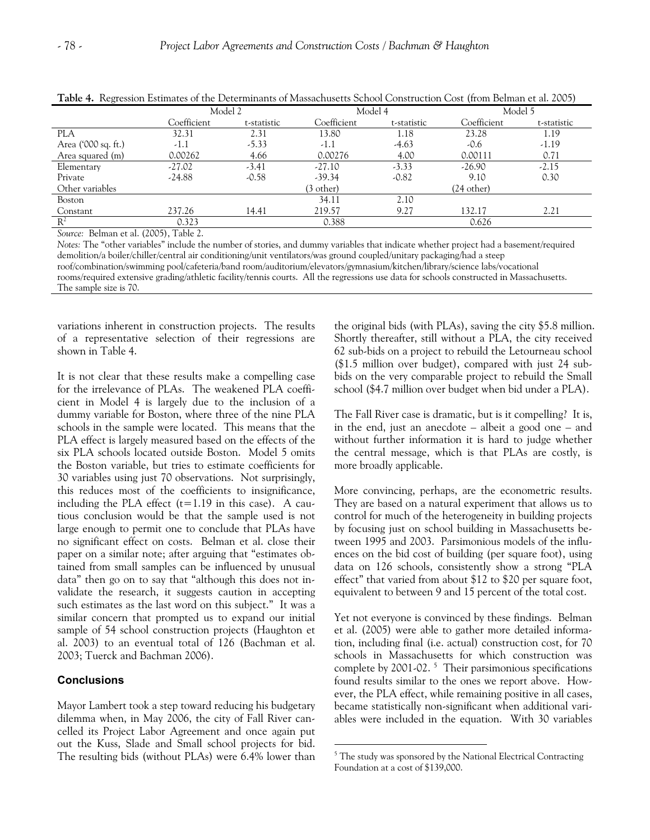| } . |  |  |  |  |
|-----|--|--|--|--|
|     |  |  |  |  |

| Table 10 Interession Estimates of the Determinants of Massachusetts behoof Construction Cost (from Demian et al. 2009) |             |             |             |             |             |             |  |
|------------------------------------------------------------------------------------------------------------------------|-------------|-------------|-------------|-------------|-------------|-------------|--|
|                                                                                                                        | Model 2     |             | Model 4     |             | Model 5     |             |  |
|                                                                                                                        | Coefficient | t-statistic | Coefficient | t-statistic | Coefficient | t-statistic |  |
| <b>PLA</b>                                                                                                             | 32.31       | 2.31        | 13.80       | 1.18        | 23.28       | 1.19        |  |
| Area ('000 sq. ft.)                                                                                                    | -1.1        | $-5.33$     | $-1.1$      | $-4.63$     | $-0.6$      | $-1.19$     |  |
| Area squared (m)                                                                                                       | 0.00262     | 4.66        | 0.00276     | 4.00        | 0.00111     | 0.71        |  |
| Elementary                                                                                                             | $-27.02$    | $-3.41$     | $-27.10$    | $-3.33$     | $-26.90$    | $-2.15$     |  |
| Private                                                                                                                | $-24.88$    | $-0.58$     | $-39.34$    | $-0.82$     | 9.10        | 0.30        |  |
| Other variables                                                                                                        |             |             | (3 other)   |             | (24 other)  |             |  |
| Boston                                                                                                                 |             |             | 34.11       | 2.10        |             |             |  |
| Constant                                                                                                               | 237.26      | 14.41       | 219.57      | 9.27        | 132.17      | 2.21        |  |
| $R^2$                                                                                                                  | 0.323       |             | 0.388       |             | 0.626       |             |  |

**Table 4.** Regression Estimates of the Determinants of Massachusetts School Construction Cost (from Belman et al. 2005)

*Source:* Belman et al. (2005), Table 2.

*Notes:* The "other variables" include the number of stories, and dummy variables that indicate whether project had a basement/required demolition/a boiler/chiller/central air conditioning/unit ventilators/was ground coupled/unitary packaging/had a steep roof/combination/swimming pool/cafeteria/band room/auditorium/elevators/gymnasium/kitchen/library/science labs/vocational rooms/required extensive grading/athletic facility/tennis courts. All the regressions use data for schools constructed in Massachusetts. The sample size is 70.

 $\overline{a}$ 

variations inherent in construction projects. The results of a representative selection of their regressions are shown in Table 4.

It is not clear that these results make a compelling case for the irrelevance of PLAs. The weakened PLA coefficient in Model 4 is largely due to the inclusion of a dummy variable for Boston, where three of the nine PLA schools in the sample were located. This means that the PLA effect is largely measured based on the effects of the six PLA schools located outside Boston. Model 5 omits the Boston variable, but tries to estimate coefficients for 30 variables using just 70 observations. Not surprisingly, this reduces most of the coefficients to insignificance, including the PLA effect  $(t=1.19)$  in this case). A cautious conclusion would be that the sample used is not large enough to permit one to conclude that PLAs have no significant effect on costs. Belman et al. close their paper on a similar note; after arguing that "estimates obtained from small samples can be influenced by unusual data" then go on to say that "although this does not invalidate the research, it suggests caution in accepting such estimates as the last word on this subject." It was a similar concern that prompted us to expand our initial sample of 54 school construction projects (Haughton et al. 2003) to an eventual total of 126 (Bachman et al. 2003; Tuerck and Bachman 2006).

# **Conclusions**

<span id="page-7-0"></span>Mayor Lambert took a step toward reducing his budgetary dilemma when, in May 2006, the city of Fall River cancelled its Project Labor Agreement and once again put out the Kuss, Slade and Small school projects for bid. The resulting bids (without PLAs) were 6.4% lower than the original bids (with PLAs), saving the city \$5.8 million. Shortly thereafter, still without a PLA, the city received 62 sub-bids on a project to rebuild the Letourneau school (\$1.5 million over budget), compared with just 24 subbids on the very comparable project to rebuild the Small school (\$4.7 million over budget when bid under a PLA).

The Fall River case is dramatic, but is it compelling? It is, in the end, just an anecdote – albeit a good one – and without further information it is hard to judge whether the central message, which is that PLAs are costly, is more broadly applicable.

More convincing, perhaps, are the econometric results. They are based on a natural experiment that allows us to control for much of the heterogeneity in building projects by focusing just on school building in Massachusetts between 1995 and 2003. Parsimonious models of the influences on the bid cost of building (per square foot), using data on 126 schools, consistently show a strong "PLA effect" that varied from about \$12 to \$20 per square foot, equivalent to between 9 and 15 percent of the total cost.

Yet not everyone is convinced by these findings. Belman et al. (2005) were able to gather more detailed information, including final (i.e. actual) construction cost, for 70 schools in Massachusetts for which construction was complete by 2001-02.<sup>[5](#page-7-0)</sup> Their parsimonious specifications found results similar to the ones we report above. However, the PLA effect, while remaining positive in all cases, became statistically non-significant when additional variables were included in the equation. With 30 variables

<sup>&</sup>lt;sup>5</sup> The study was sponsored by the National Electrical Contracting Foundation at a cost of \$139,000.